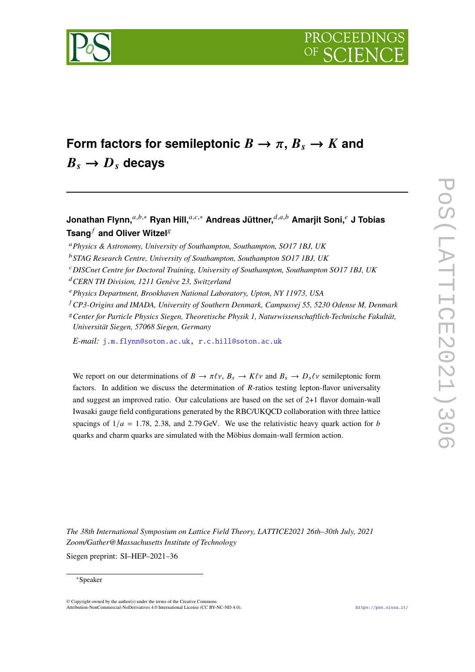



# Form factors for semileptonic  $B \to \pi$ ,  $B_s \to K$  and  $B_s \rightarrow D_s$  decays

## **Jonathan Flynn,**<sup>a,b,∗</sup> **Ryan Hill,**<sup>a,c,∗</sup> Andreas Jüttner,<sup>d,a,b</sup> Amarjit Soni,<sup>e</sup> J Tobias **Tsang**<sup>*f*</sup> and Oliver Witzel<sup>*g*</sup>

*E-mail:* [j.m.flynn@soton.ac.uk,](mailto:j.m.flynn@soton.ac.uk) [r.c.hill@soton.ac.uk](mailto:r.c.hill@soton.ac.uk)

We report on our determinations of  $B \to \pi \ell \nu$ ,  $B_s \to K \ell \nu$  and  $B_s \to D_s \ell \nu$  semileptonic form factors. In addition we discuss the determination of  $R$ -ratios testing lepton-flavor universality and suggest an improved ratio. Our calculations are based on the set of 2+1 flavor domain-wall Iwasaki gauge field configurations generated by the RBC/UKQCD collaboration with three lattice spacings of  $1/a = 1.78$ , 2.38, and 2.79 GeV. We use the relativistic heavy quark action for b quarks and charm quarks are simulated with the Möbius domain-wall fermion action.

*The 38th International Symposium on Lattice Field Theory, LATTICE2021 26th–30th July, 2021 Zoom/Gather@Massachusetts Institute of Technology*

Siegen preprint: SI–HEP–2021–36

#### <sup>∗</sup>Speaker

*Physics & Astronomy, University of Southampton, Southampton, SO17 1BJ, UK*

*STAG Research Centre, University of Southampton, Southampton SO17 1BJ, UK*

*DISCnet Centre for Doctoral Training, University of Southampton, Southampton SO17 1BJ, UK*

*CERN TH Division, 1211 Genève 23, Switzerland*

*Physics Department, Brookhaven National Laboratory, Upton, NY 11973, USA*

*CP3-Origins and IMADA, University of Southern Denmark, Campusvej 55, 5230 Odense M, Denmark*

*Center for Particle Physics Siegen, Theoretische Physik 1, Naturwissenschaftlich-Technische Fakultät, Universität Siegen, 57068 Siegen, Germany*

 $\odot$  Copyright owned by the author(s) under the terms of the Creative Common Attribution-NonCommercial-NoDerivatives 4.0 International License (CC BY-NC-ND 4.0). <https://pos.sissa.it/>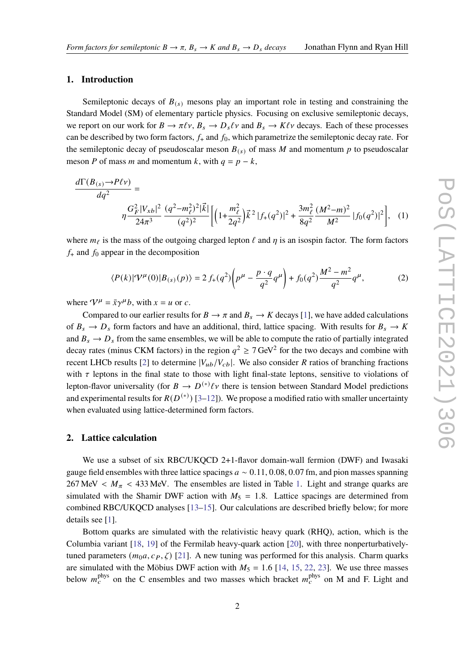#### **1. Introduction**

Semileptonic decays of  $B_{(s)}$  mesons play an important role in testing and constraining the Standard Model (SM) of elementary particle physics. Focusing on exclusive semileptonic decays, we report on our work for  $B \to \pi \ell \nu$ ,  $B_s \to D_s \ell \nu$  and  $B_s \to K \ell \nu$  decays. Each of these processes can be described by two form factors,  $f_+$  and  $f_0$ , which parametrize the semileptonic decay rate. For the semileptonic decay of pseudoscalar meson  $B_{(s)}$  of mass M and momentum p to pseudoscalar meson *P* of mass *m* and momentum *k*, with  $q = p - k$ ,

$$
\frac{d\Gamma(B_{(s)} \to P \ell \nu)}{dq^2} = \frac{G_F^2 |V_{xb}|^2 (q^2 - m_\ell^2)^2 |\vec{k}|}{\eta \frac{G_F^2 |V_{xb}|^2 (q^2 - m_\ell^2)^2 |\vec{k}|}{(q^2)^2} \left[ \left(1 + \frac{m_\ell^2}{2q^2}\right) \vec{k}^2 |f_+(q^2)|^2 + \frac{3m_\ell^2}{8q^2} \frac{(M^2 - m)^2}{M^2} |f_0(q^2)|^2 \right], \quad (1)
$$

where  $m_\ell$  is the mass of the outgoing charged lepton  $\ell$  and  $\eta$  is an isospin factor. The form factors  $f_{+}$  and  $f_{0}$  appear in the decomposition

<span id="page-1-0"></span>
$$
\langle P(k)|\mathcal{V}^{\mu}(0)|B_{(s)}(p)\rangle = 2 f_{+}(q^{2}) \left(p^{\mu} - \frac{p \cdot q}{q^{2}} q^{\mu}\right) + f_{0}(q^{2}) \frac{M^{2} - m^{2}}{q^{2}} q^{\mu},\tag{2}
$$

where  $V^{\mu} = \bar{x}\gamma^{\mu}b$ , with  $x = u$  or c.

Compared to our earlier results for  $B \to \pi$  and  $B_s \to K$  decays [\[1\]](#page-8-0), we have added calculations of  $B_s \to D_s$  form factors and have an additional, third, lattice spacing. With results for  $B_s \to K$ and  $B_s \rightarrow D_s$  from the same ensembles, we will be able to compute the ratio of partially integrated decay rates (minus CKM factors) in the region  $q^2 \ge 7 \text{ GeV}^2$  for the two decays and combine with recent LHCb results [\[2\]](#page-8-1) to determine  $|V_{ub}/V_{cb}|$ . We also consider R ratios of branching fractions with  $\tau$  leptons in the final state to those with light final-state leptons, sensitive to violations of lepton-flavor universality (for  $B \to D^{(*)}\ell\nu$  there is tension between Standard Model predictions and experimental results for  $R(D<sup>(*)</sup>)$  [\[3](#page-8-2)[–12\]](#page-9-0)). We propose a modified ratio with smaller uncertainty when evaluated using lattice-determined form factors.

#### **2. Lattice calculation**

We use a subset of six RBC/UKOCD 2+1-flavor domain-wall fermion (DWF) and Iwasaki gauge field ensembles with three lattice spacings  $a \sim 0.11, 0.08, 0.07$  fm, and pion masses spanning 267 MeV  $\langle M_\pi \rangle$  < 433 MeV. The ensembles are listed in Table [1.](#page-2-0) Light and strange quarks are simulated with the Shamir DWF action with  $M_5 = 1.8$ . Lattice spacings are determined from combined RBC/UKQCD analyses [\[13–](#page-9-1)[15\]](#page-9-2). Our calculations are described briefly below; for more details see [\[1\]](#page-8-0).

Bottom quarks are simulated with the relativistic heavy quark (RHQ), action, which is the Columbia variant [\[18,](#page-9-3) [19\]](#page-9-4) of the Fermilab heavy-quark action [\[20\]](#page-9-5), with three nonperturbativelytuned parameters  $(m_0 a, c_P, \zeta)$  [\[21\]](#page-9-6). A new tuning was performed for this analysis. Charm quarks are simulated with the Möbius DWF action with  $M_5 = 1.6$  [\[14,](#page-9-7) [15,](#page-9-2) [22,](#page-9-8) [23\]](#page-9-9). We use three masses below  $m_c^{\text{phys}}$  on the C ensembles and two masses which bracket  $m_c^{\text{phys}}$  on M and F. Light and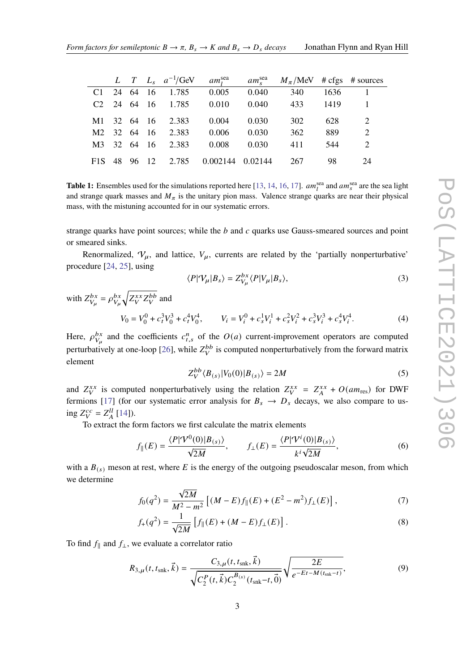<span id="page-2-0"></span>

|                  |          |          |                |          |         | L T $L_s$ $a^{-1}/\text{GeV}$ $am_l^{\text{sea}}$ $am_s^{\text{sea}}$ $M_\pi/\text{MeV}$ # cfgs # sources |      |    |
|------------------|----------|----------|----------------|----------|---------|-----------------------------------------------------------------------------------------------------------|------|----|
| C1               |          | 24 64 16 | 1.785          | 0.005    | 0.040   | 340                                                                                                       | 1636 |    |
| C2               | 24 64 16 |          | 1.785          | 0.010    | 0.040   | 433                                                                                                       | 1419 |    |
| M1               |          |          | 32 64 16 2.383 | 0.004    | 0.030   | 302                                                                                                       | 628  | 2  |
| M2               |          |          | 32 64 16 2.383 | 0.006    | 0.030   | 362                                                                                                       | 889  | 2  |
| M <sup>3</sup>   | 32 64 16 |          | 2.383          | 0.008    | 0.030   | 411                                                                                                       | 544  | 2  |
| F <sub>1</sub> S |          | 48 96 12 | 2.785          | 0.002144 | 0.02144 | 267                                                                                                       | 98   | 24 |

**Table 1:** Ensembles used for the simulations reported here [\[13,](#page-9-1) [14,](#page-9-7) [16,](#page-9-10) [17\]](#page-9-11).  $am_l^{\text{sea}}$  and  $am_s^{\text{sea}}$  are the sea light and strange quark masses and  $M_{\pi}$  is the unitary pion mass. Valence strange quarks are near their physical mass, with the mistuning accounted for in our systematic errors.

strange quarks have point sources; while the  $b$  and  $c$  quarks use Gauss-smeared sources and point or smeared sinks.

Renormalized,  $V_{\mu}$ , and lattice,  $V_{\mu}$ , currents are related by the 'partially nonperturbative' procedure [\[24,](#page-10-0) [25\]](#page-10-1), using

$$
\langle P|\mathcal{V}_{\mu}|B_{s}\rangle = Z_{V_{\mu}}^{bx} \langle P|\mathcal{V}_{\mu}|B_{s}\rangle, \tag{3}
$$

with  $Z_{V_u}^{bx} = \rho_{V_u}^{bx} \sqrt{Z_V^{xx} Z_V^{bb}}$  and  $V_0 = V_0^0 + c_t^3 V_0^3 + c_t^4 V_0^4$ ,  $V_i = V_i^0 + c_s^1 V_i^1 + c_s^2 V_i^2 + c_s^3 V_i^3 + c_s^4 V_i^4$  $(4)$ 

Here,  $\rho_{V_u}^{bx}$  and the coefficients  $c_{t,s}^n$  of the  $O(a)$  current-improvement operators are computed perturbatively at one-loop [\[26\]](#page-10-2), while  $Z_V^{bb}$  is computed nonperturbatively from the forward matrix element

$$
Z_V^{bb} \langle B_{(s)} | V_0(0) | B_{(s)} \rangle = 2M \tag{5}
$$

and  $Z_V^{xx}$  is computed nonperturbatively using the relation  $Z_V^{xx} = Z_A^{xx} + O(am_{res})$  for DWF fermions [\[17\]](#page-9-11) (for our systematic error analysis for  $B_s \to D_s$  decays, we also compare to using  $Z_V^{cc} = Z_A^{ll}$  [\[14\]](#page-9-7)).

To extract the form factors we first calculate the matrix elements

$$
f_{\parallel}(E) = \frac{\langle P|\mathcal{V}^{0}(0)|B_{(s)}\rangle}{\sqrt{2M}}, \qquad f_{\perp}(E) = \frac{\langle P|\mathcal{V}^{i}(0)|B_{(s)}\rangle}{k^{i}\sqrt{2M}}, \tag{6}
$$

with a  $B(s)$  meson at rest, where E is the energy of the outgoing pseudoscalar meson, from which we determine

$$
f_0(q^2) = \frac{\sqrt{2M}}{M^2 - m^2} \left[ (M - E) f_{\parallel}(E) + (E^2 - m^2) f_{\perp}(E) \right],
$$
 (7)

$$
f_{+}(q^{2}) = \frac{1}{\sqrt{2M}} \left[ f_{\parallel}(E) + (M - E) f_{\perp}(E) \right].
$$
 (8)

To find  $f_{\parallel}$  and  $f_{\perp}$ , we evaluate a correlator ratio

$$
R_{3,\mu}(t, t_{\text{snk}}, \vec{k}) = \frac{C_{3,\mu}(t, t_{\text{snk}}, \vec{k})}{\sqrt{C_2^P(t, \vec{k}) C_2^{B_{(s)}}(t_{\text{snk}} - t, \vec{0})}} \sqrt{\frac{2E}{e^{-Et - M(t_{\text{snk}} - t)}},
$$
(9)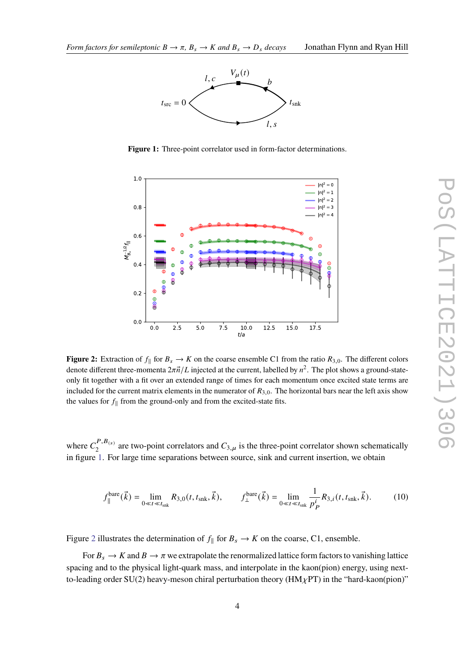<span id="page-3-0"></span>

**Figure 1:** Three-point correlator used in form-factor determinations.

<span id="page-3-1"></span>

**Figure 2:** Extraction of  $f_{\parallel}$  for  $B_s \to K$  on the coarse ensemble C1 from the ratio  $R_{3,0}$ . The different colors denote different three-momenta  $2\pi \vec{n}/L$  injected at the current, labelled by  $n^2$ . The plot shows a ground-stateonly fit together with a fit over an extended range of times for each momentum once excited state terms are included for the current matrix elements in the numerator of  $R_{3,0}$ . The horizontal bars near the left axis show the values for  $f_{\parallel}$  from the ground-only and from the excited-state fits.

where  $C_2^{P,B(s)}$  $2^{P,B(s)}$  are two-point correlators and  $C_{3,\mu}$  is the three-point correlator shown schematically in figure [1.](#page-3-0) For large time separations between source, sink and current insertion, we obtain

$$
f_{\parallel}^{\text{bare}}(\vec{k}) = \lim_{0 \ll t \ll t_{\text{snk}}} R_{3,0}(t, t_{\text{snk}}, \vec{k}), \qquad f_{\perp}^{\text{bare}}(\vec{k}) = \lim_{0 \ll t \ll t_{\text{snk}}} \frac{1}{p_P^i} R_{3,i}(t, t_{\text{snk}}, \vec{k}). \tag{10}
$$

Figure [2](#page-3-1) illustrates the determination of  $f_{\parallel}$  for  $B_s \to K$  on the coarse, C1, ensemble.

For  $B_s \to K$  and  $B \to \pi$  we extrapolate the renormalized lattice form factors to vanishing lattice spacing and to the physical light-quark mass, and interpolate in the kaon(pion) energy, using nextto-leading order SU(2) heavy-meson chiral perturbation theory ( $HM_{\chi}PT$ ) in the "hard-kaon(pion)"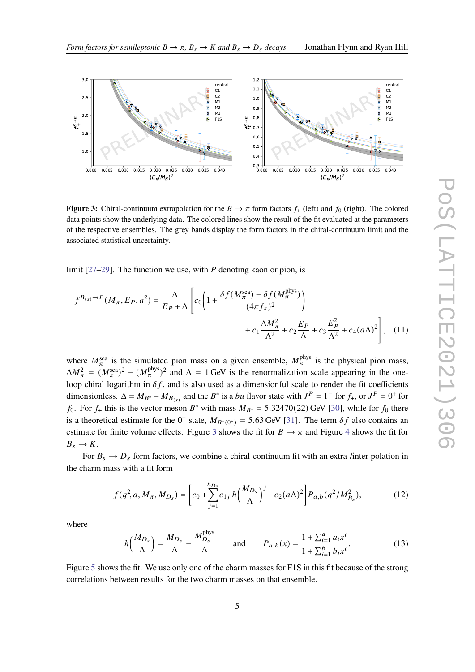<span id="page-4-0"></span>

**Figure 3:** Chiral-continuum extrapolation for the  $B \to \pi$  form factors  $f_{+}$  (left) and  $f_{0}$  (right). The colored data points show the underlying data. The colored lines show the result of the fit evaluated at the parameters of the respective ensembles. The grey bands display the form factors in the chiral-continuum limit and the associated statistical uncertainty.

limit  $[27-29]$  $[27-29]$ . The function we use, with P denoting kaon or pion, is

$$
f^{B(s)} \to P(M_{\pi}, E_P, a^2) = \frac{\Lambda}{E_P + \Delta} \left[ c_0 \left( 1 + \frac{\delta f(M_{\pi}^{\text{sea}}) - \delta f(M_{\pi}^{\text{phys}})}{(4\pi f_{\pi})^2} \right) + c_1 \frac{\Delta M_{\pi}^2}{\Lambda^2} + c_2 \frac{E_P}{\Lambda} + c_3 \frac{E_P^2}{\Lambda^2} + c_4 (a\Lambda)^2 \right], \quad (11)
$$

where  $M_{\pi}^{\text{sea}}$  is the simulated pion mass on a given ensemble,  $M_{\pi}^{\text{phys}}$  is the physical pion mass,  $\Delta M_{\pi}^2 = (M_{\pi}^{\text{sea}})^2 - (M_{\pi}^{\text{phys}})^2$  and  $\Lambda = 1$  GeV is the renormalization scale appearing in the oneloop chiral logarithm in  $\delta f$ , and is also used as a dimensionful scale to render the fit coefficients dimensionless.  $\Delta = M_{B^*} - M_{B(s)}$  and the  $B^*$  is a  $\bar{b}u$  flavor state with  $J^P = 1^-$  for  $f_+$ , or  $J^P = 0^+$  for  $f_0$ . For  $f_+$  this is the vector meson  $B^*$  with mass  $M_{B^*} = 5.32470(22)$  GeV [\[30\]](#page-10-5), while for  $f_0$  there is a theoretical estimate for the  $0^+$  state,  $M_{B^*(0^+)} = 5.63$  GeV [\[31\]](#page-10-6). The term  $\delta f$  also contains an estimate for finite volume effects. Figure [3](#page-4-0) shows the fit for  $B \to \pi$  and Figure [4](#page-5-0) shows the fit for  $B_s \to K$ .

For  $B_s \to D_s$  form factors, we combine a chiral-continuum fit with an extra-/inter-polation in the charm mass with a fit form

$$
f(q^2, a, M_{\pi}, M_{D_s}) = \left[c_0 + \sum_{j=1}^{n_{D_s}} c_{1j} h\left(\frac{M_{D_s}}{\Lambda}\right)^j + c_2 (a\Lambda)^2\right] P_{a,b}(q^2/M_{B_s}^2),\tag{12}
$$

where

$$
h\left(\frac{M_{D_s}}{\Lambda}\right) = \frac{M_{D_s}}{\Lambda} - \frac{M_{D_s}^{\text{phys}}}{\Lambda} \quad \text{and} \quad P_{a,b}(x) = \frac{1 + \sum_{i=1}^a a_i x^i}{1 + \sum_{i=1}^b b_i x^i}.
$$
 (13)

Figure [5](#page-5-1) shows the fit. We use only one of the charm masses for F1S in this fit because of the strong correlations between results for the two charm masses on that ensemble.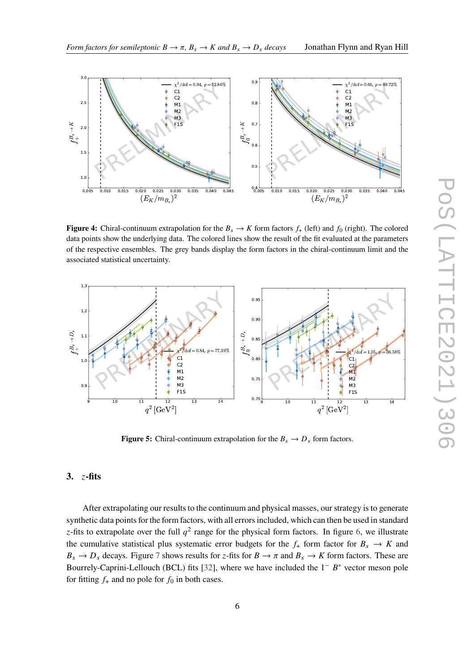<span id="page-5-0"></span>

**Figure 4:** Chiral-continuum extrapolation for the  $B_s \to K$  form factors  $f_+$  (left) and  $f_0$  (right). The colored data points show the underlying data. The colored lines show the result of the fit evaluated at the parameters of the respective ensembles. The grey bands display the form factors in the chiral-continuum limit and the associated statistical uncertainty.

<span id="page-5-1"></span>

**Figure 5:** Chiral-continuum extrapolation for the  $B_s \to D_s$  form factors.

### $3.$   $z$ -fits

After extrapolating our results to the continuum and physical masses, our strategy is to generate synthetic data points for the form factors, with all errors included, which can then be used in standard z-fits to extrapolate over the full  $q^2$  range for the physical form factors. In figure [6,](#page-6-0) we illustrate the cumulative statistical plus systematic error budgets for the  $f_{+}$  form factor for  $B_s \rightarrow K$  and  $B_s \to D_s$  decays. Figure [7](#page-6-1) shows results for  $z$ -fits for  $B \to \pi$  and  $B_s \to K$  form factors. These are Bourrely-Caprini-Lellouch (BCL) fits [\[32\]](#page-10-7), where we have included the  $1^ B^*$  vector meson pole for fitting  $f_+$  and no pole for  $f_0$  in both cases.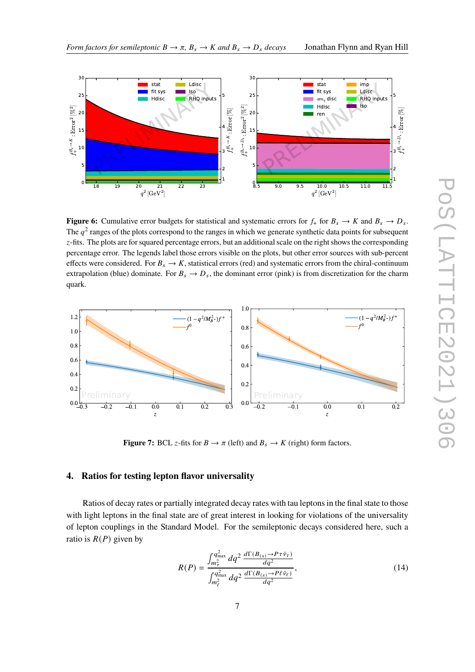

<span id="page-6-0"></span>

**Figure 6:** Cumulative error budgets for statistical and systematic errors for  $f_+$  for  $B_s \to K$  and  $B_s \to D_s$ . The  $q^2$  ranges of the plots correspond to the ranges in which we generate synthetic data points for subsequent -fits. The plots are for squared percentage errors, but an additional scale on the right shows the corresponding percentage error. The legends label those errors visible on the plots, but other error sources with sub-percent effects were considered. For  $B_s \to K$ , statistical errors (red) and systematic errors from the chiral-continuum extrapolation (blue) dominate. For  $B_s \to D_s$ , the dominant error (pink) is from discretization for the charm quark.

<span id="page-6-1"></span>

**Figure 7:** BCL *z*-fits for  $B \to \pi$  (left) and  $B_s \to K$  (right) form factors.

## **4. Ratios for testing lepton flavor universality**

Ratios of decay rates or partially integrated decay rates with tau leptons in the final state to those with light leptons in the final state are of great interest in looking for violations of the universality of lepton couplings in the Standard Model. For the semileptonic decays considered here, such a ratio is  $R(P)$  given by

<span id="page-6-2"></span>
$$
R(P) = \frac{\int_{m_{\tau}^2}^{q_{\text{max}}^2} dq^2 \frac{d\Gamma(B_{(s)} \to P \tau \bar{\nu}_{\tau})}{dq^2}}{\int_{m_{\ell}^2}^{q_{\text{max}}^2} dq^2 \frac{d\Gamma(B_{(s)} \to P \ell \bar{\nu}_{\ell})}{dq^2}},
$$
(14)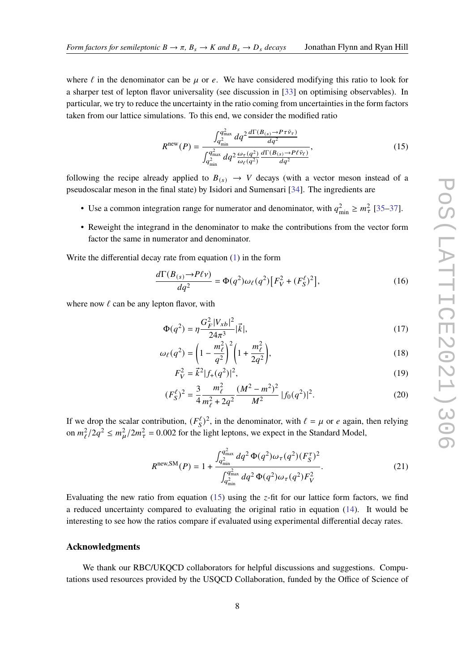where  $\ell$  in the denominator can be  $\mu$  or  $e$ . We have considered modifying this ratio to look for a sharper test of lepton flavor universality (see discussion in [\[33\]](#page-10-8) on optimising observables). In particular, we try to reduce the uncertainty in the ratio coming from uncertainties in the form factors taken from our lattice simulations. To this end, we consider the modified ratio

<span id="page-7-0"></span>
$$
R^{\text{new}}(P) = \frac{\int_{q_{\text{min}}^2}^{q_{\text{max}}^2} dq^2 \frac{d\Gamma(B_{(s)} \to P \tau \bar{\nu}_{\tau})}{dq^2}}{\int_{q_{\text{min}}^2}^{q_{\text{max}}^2} dq^2 \frac{\omega_{\tau}(q^2)}{\omega_{\ell}(q^2)} \frac{d\Gamma(B_{(s)} \to P \ell \bar{\nu}_{\ell})}{dq^2}},
$$
(15)

following the recipe already applied to  $B_{(s)} \rightarrow V$  decays (with a vector meson instead of a pseudoscalar meson in the final state) by Isidori and Sumensari [\[34\]](#page-10-9). The ingredients are

- Use a common integration range for numerator and denominator, with  $q_{\text{min}}^2 \ge m_\tau^2$  [\[35](#page-10-10)[–37\]](#page-10-11).
- Reweight the integrand in the denominator to make the contributions from the vector form factor the same in numerator and denominator.

Write the differential decay rate from equation [\(1\)](#page-1-0) in the form

$$
\frac{d\Gamma(B_{(s)} \to P\ell \nu)}{dq^2} = \Phi(q^2)\omega_{\ell}(q^2)\left[F_V^2 + (F_S^{\ell})^2\right],\tag{16}
$$

where now  $\ell$  can be any lepton flavor, with

$$
\Phi(q^2) = \eta \frac{G_F^2 |V_{xb}|^2}{24\pi^3} |\vec{k}|,\tag{17}
$$

$$
\omega_{\ell}(q^2) = \left(1 - \frac{m_{\ell}^2}{q^2}\right)^2 \left(1 + \frac{m_{\ell}^2}{2q^2}\right),\tag{18}
$$

$$
F_V^2 = \vec{k}^2 |f_+(q^2)|^2,\tag{19}
$$

$$
(F_S^{\ell})^2 = \frac{3}{4} \frac{m_{\ell}^2}{m_{\ell}^2 + 2q^2} \frac{(M^2 - m^2)^2}{M^2} |f_0(q^2)|^2.
$$
 (20)

If we drop the scalar contribution,  $(F_S^{\ell})^2$ , in the denominator, with  $\ell = \mu$  or  $e$  again, then relying on  $m_{\ell}^2/2q^2 \le m_{\mu}^2/2m_{\tau}^2 = 0.002$  for the light leptons, we expect in the Standard Model,

$$
R^{\text{new,SM}}(P) = 1 + \frac{\int_{q_{\text{min}}^2}^{q_{\text{max}}^2} dq^2 \,\Phi(q^2)\omega_\tau(q^2) (F_S^\tau)^2}{\int_{q_{\text{min}}^2}^{q_{\text{max}}^2} dq^2 \,\Phi(q^2)\omega_\tau(q^2) F_V^2}.
$$
 (21)

Evaluating the new ratio from equation [\(15\)](#page-7-0) using the  $z$ -fit for our lattice form factors, we find a reduced uncertainty compared to evaluating the original ratio in equation [\(14\)](#page-6-2). It would be interesting to see how the ratios compare if evaluated using experimental differential decay rates.

#### **Acknowledgments**

We thank our RBC/UKQCD collaborators for helpful discussions and suggestions. Computations used resources provided by the USQCD Collaboration, funded by the Office of Science of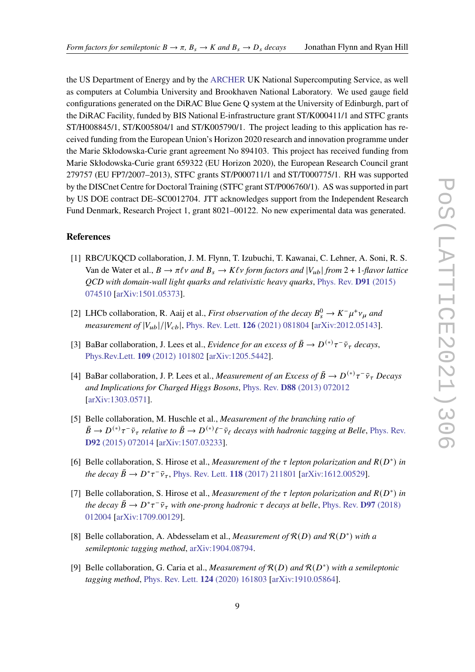the US Department of Energy and by the [ARCHER](http://www.archer.ac.uk) UK National Supercomputing Service, as well as computers at Columbia University and Brookhaven National Laboratory. We used gauge field configurations generated on the DiRAC Blue Gene Q system at the University of Edinburgh, part of the DiRAC Facility, funded by BIS National E-infrastructure grant ST/K000411/1 and STFC grants ST/H008845/1, ST/K005804/1 and ST/K005790/1. The project leading to this application has received funding from the European Union's Horizon 2020 research and innovation programme under the Marie Skłodowska-Curie grant agreement No 894103. This project has received funding from Marie Skłodowska-Curie grant 659322 (EU Horizon 2020), the European Research Council grant 279757 (EU FP7/2007–2013), STFC grants ST/P000711/1 and ST/T000775/1. RH was supported by the DISCnet Centre for Doctoral Training (STFC grant ST/P006760/1). AS was supported in part by US DOE contract DE–SC0012704. JTT acknowledges support from the Independent Research Fund Denmark, Research Project 1, grant 8021–00122. No new experimental data was generated.

#### **References**

- <span id="page-8-0"></span>[1] RBC/UKQCD collaboration, J. M. Flynn, T. Izubuchi, T. Kawanai, C. Lehner, A. Soni, R. S. Van de Water et al.,  $B \to \pi \ell \nu$  and  $B_s \to K \ell \nu$  form factors and  $|V_{\mu b}|$  from 2 + 1*-flavor lattice QCD with domain-wall light quarks and relativistic heavy quarks*, [Phys. Rev.](https://doi.org/10.1103/PhysRevD.91.074510) **D91** (2015) [074510](https://doi.org/10.1103/PhysRevD.91.074510) [\[arXiv:1501.05373\]](https://arxiv.org/abs/1501.05373).
- <span id="page-8-1"></span>[2] LHCb collaboration, R. Aaij et al., *First observation of the decay*  $B_s^0 \to K^- \mu^+ \nu_\mu$  and *measurement of*  $|V_{ub}|/|V_{cb}|$ , [Phys. Rev. Lett.](https://doi.org/10.1103/PhysRevLett.126.081804) **126** (2021) 081804 [\[arXiv:2012.05143\]](https://arxiv.org/abs/2012.05143).
- <span id="page-8-2"></span>[3] BaBar collaboration, J. Lees et al., *Evidence for an excess of*  $\bar{B} \to D^{(*)}\tau^-\bar{\nu}_{\tau}$  *decays*, Phys.Rev.Lett. **109** [\(2012\) 101802](https://doi.org/10.1103/PhysRevLett.109.101802) [\[arXiv:1205.5442\]](https://arxiv.org/abs/1205.5442).
- [4] BaBar collaboration, J. P. Lees et al., *Measurement of an Excess of*  $\bar{B} \to D^{(*)}\tau^-\bar{\nu}_{\tau}$  *Decays and Implications for Charged Higgs Bosons*, Phys. Rev. **D88** [\(2013\) 072012](https://doi.org/10.1103/PhysRevD.88.072012) [\[arXiv:1303.0571\]](https://arxiv.org/abs/1303.0571).
- [5] Belle collaboration, M. Huschle et al., *Measurement of the branching ratio of*  $\bar{B}\to D^{(*)}\tau^-\bar{\nu}_\tau$  relative to  $\bar{B}\to D^{(*)}\ell^-\bar{\nu}_\ell$  decays with hadronic tagging at Belle, [Phys. Rev.](https://doi.org/10.1103/PhysRevD.92.072014) **D92** [\(2015\) 072014](https://doi.org/10.1103/PhysRevD.92.072014) [\[arXiv:1507.03233\]](https://arxiv.org/abs/1507.03233).
- [6] Belle collaboration, S. Hirose et al., *Measurement of the*  $\tau$  lepton polarization and  $R(D^*)$  in  $\Delta$  *the decay*  $\bar{B} \to D^* \tau^- \bar{\nu}_{\tau}$ , [Phys. Rev. Lett.](https://doi.org/10.1103/PhysRevLett.118.211801) **118** (2017) 211801 [\[arXiv:1612.00529\]](https://arxiv.org/abs/1612.00529).
- [7] Belle collaboration, S. Hirose et al., *Measurement of the*  $\tau$  lepton polarization and  $R(D^*)$  in *the decay*  $\bar{B} \to D^* \tau^- \bar{\nu}_{\tau}$  *with one-prong hadronic*  $\tau$  *decays at belle*, [Phys. Rev.](https://doi.org/10.1103/PhysRevD.97.012004) **D97** (2018) [012004](https://doi.org/10.1103/PhysRevD.97.012004) [\[arXiv:1709.00129\]](https://arxiv.org/abs/1709.00129).
- [8] Belle collaboration, A. Abdesselam et al., *Measurement of*  $\mathcal{R}(D)$  and  $\mathcal{R}(D^*)$  with a *semileptonic tagging method*, [arXiv:1904.08794.](https://arxiv.org/abs/1904.08794)
- [9] Belle collaboration, G. Caria et al., *Measurement of*  $R(D)$  and  $R(D^*)$  with a semileptonic *tagging method*, [Phys. Rev. Lett.](https://doi.org/10.1103/PhysRevLett.124.161803) **124** (2020) 161803 [\[arXiv:1910.05864\]](https://arxiv.org/abs/1910.05864).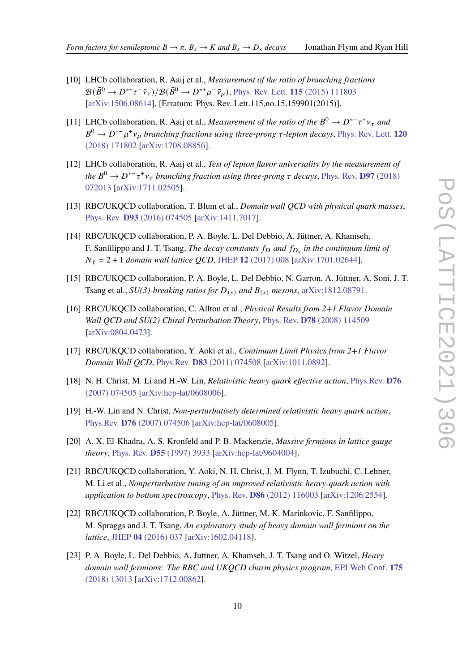- [10] LHCb collaboration, R. Aaij et al., *Measurement of the ratio of branching fractions*  $\mathcal{B}(\bar{B}^0 \to D^{*+}\tau^-\bar{\nu}_\tau)/\mathcal{B}(\bar{B}^0 \to D^{*+}\mu^-\bar{\nu}_\mu)$ , [Phys. Rev. Lett.](https://doi.org/10.1103/PhysRevLett.115.159901, 10.1103/PhysRevLett.115.111803) **115** (2015) 111803 [\[arXiv:1506.08614\]](https://arxiv.org/abs/1506.08614), [Erratum: Phys. Rev. Lett.115,no.15,159901(2015)].
- [11] LHCb collaboration, R. Aaij et al., *Measurement of the ratio of the*  $B^0 \to D^{*-} \tau^+ \nu_{\tau}$  and  $B^0 \to D^{*-} \mu^+ \nu_\mu$  branching fractions using three-prong  $\tau$ -lepton decays, [Phys. Rev. Lett.](https://doi.org/10.1103/PhysRevLett.120.171802) 120 [\(2018\) 171802](https://doi.org/10.1103/PhysRevLett.120.171802) [\[arXiv:1708.08856\]](https://arxiv.org/abs/1708.08856).
- <span id="page-9-0"></span>[12] LHCb collaboration, R. Aaij et al., *Test of lepton flavor universality by the measurement of the*  $B^0$  →  $D^{*-} \tau^+ \nu_{\tau}$  *branching fraction using three-prong*  $\tau$  *decays*, [Phys. Rev.](https://doi.org/10.1103/PhysRevD.97.072013) **D97** (2018) [072013](https://doi.org/10.1103/PhysRevD.97.072013) [\[arXiv:1711.02505\]](https://arxiv.org/abs/1711.02505).
- <span id="page-9-1"></span>[13] RBC/UKQCD collaboration, T. Blum et al., *Domain wall QCD with physical quark masses*, Phys. Rev. **D93** [\(2016\) 074505](https://doi.org/10.1103/PhysRevD.93.074505) [\[arXiv:1411.7017\]](https://arxiv.org/abs/1411.7017).
- <span id="page-9-7"></span>[14] RBC/UKQCD collaboration, P. A. Boyle, L. Del Debbio, A. Jüttner, A. Khamseh, F. Sanfilippo and J. T. Tsang, *The decay constants*  $f_D$  and  $f_{D_s}$  in the continuum limit of  $N_f = 2 + 1$  *domain wall lattice QCD*, JHEP 12 [\(2017\) 008](https://doi.org/10.1007/JHEP12(2017)008) [\[arXiv:1701.02644\]](https://arxiv.org/abs/1701.02644).
- <span id="page-9-2"></span>[15] RBC/UKQCD collaboration, P. A. Boyle, L. Del Debbio, N. Garron, A. Jüttner, A. Soni, J. T. Tsang et al.,  $SU(3)$ -breaking ratios for  $D_{(s)}$  and  $B_{(s)}$  mesons, [arXiv:1812.08791.](https://arxiv.org/abs/1812.08791)
- <span id="page-9-10"></span>[16] RBC/UKQCD collaboration, C. Allton et al., *Physical Results from 2+1 Flavor Domain Wall QCD and SU(2) Chiral Perturbation Theory*, Phys. Rev. **D78** [\(2008\) 114509](https://doi.org/10.1103/PhysRevD.78.114509) [\[arXiv:0804.0473\]](https://arxiv.org/abs/0804.0473).
- <span id="page-9-11"></span>[17] RBC/UKQCD collaboration, Y. Aoki et al., *Continuum Limit Physics from 2+1 Flavor Domain Wall QCD*, Phys.Rev. **D83** [\(2011\) 074508](https://doi.org/10.1103/PhysRevD.83.074508) [\[arXiv:1011.0892\]](https://arxiv.org/abs/1011.0892).
- <span id="page-9-3"></span>[18] N. H. Christ, M. Li and H.-W. Lin, *Relativistic heavy quark effective action*, [Phys.Rev.](https://doi.org/10.1103/PhysRevD.76.074505) **D76** [\(2007\) 074505](https://doi.org/10.1103/PhysRevD.76.074505) [\[arXiv:hep-lat/0608006\]](https://arxiv.org/abs/hep-lat/0608006).
- <span id="page-9-4"></span>[19] H.-W. Lin and N. Christ, *Non-perturbatively determined relativistic heavy quark action*, Phys.Rev. **D76** [\(2007\) 074506](https://doi.org/10.1103/PhysRevD.76.074506) [\[arXiv:hep-lat/0608005\]](https://arxiv.org/abs/hep-lat/0608005).
- <span id="page-9-5"></span>[20] A. X. El-Khadra, A. S. Kronfeld and P. B. Mackenzie, *Massive fermions in lattice gauge theory*, Phys. Rev. **D55** [\(1997\) 3933](https://doi.org/10.1103/PhysRevD.55.3933) [\[arXiv:hep-lat/9604004\]](https://arxiv.org/abs/hep-lat/9604004).
- <span id="page-9-6"></span>[21] RBC/UKQCD collaboration, Y. Aoki, N. H. Christ, J. M. Flynn, T. Izubuchi, C. Lehner, M. Li et al., *Nonperturbative tuning of an improved relativistic heavy-quark action with application to bottom spectroscopy*, Phys. Rev. **D86** [\(2012\) 116003](https://doi.org/10.1103/PhysRevD.86.116003) [\[arXiv:1206.2554\]](https://arxiv.org/abs/1206.2554).
- <span id="page-9-8"></span>[22] RBC/UKQCD collaboration, P. Boyle, A. Jüttner, M. K. Marinkovic, F. Sanfilippo, M. Spraggs and J. T. Tsang, *An exploratory study of heavy domain wall fermions on the lattice*, JHEP **04** [\(2016\) 037](https://doi.org/10.1007/JHEP04(2016)037) [\[arXiv:1602.04118\]](https://arxiv.org/abs/1602.04118).
- <span id="page-9-9"></span>[23] P. A. Boyle, L. Del Debbio, A. Juttner, A. Khamseh, J. T. Tsang and O. Witzel, *Heavy domain wall fermions: The RBC and UKQCD charm physics program*, [EPJ Web Conf.](https://doi.org/10.1051/epjconf/201817513013) **175** [\(2018\) 13013](https://doi.org/10.1051/epjconf/201817513013) [\[arXiv:1712.00862\]](https://arxiv.org/abs/1712.00862).